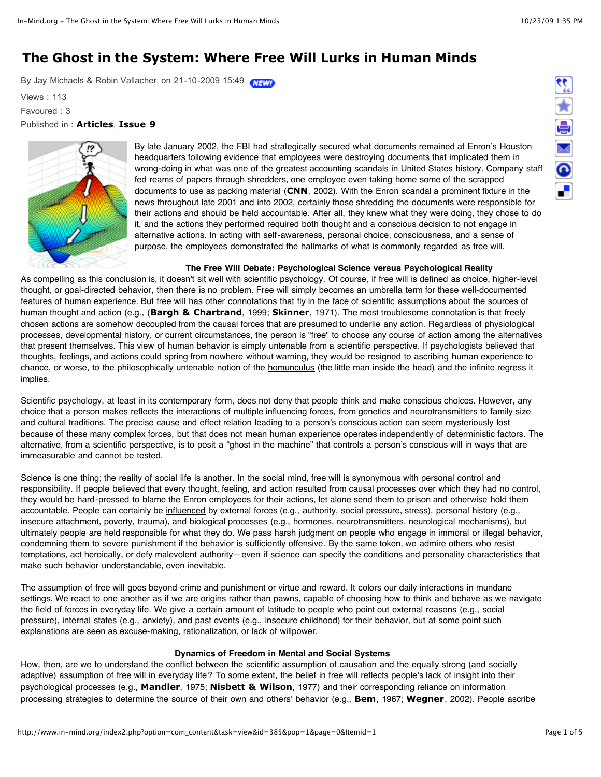# **The Ghost in the System: Where Free Will Lurks in Human Minds**

By Jay Michaels & Robin Vallacher, on 21-10-2009 15:49 WEWP

Views : 113

Favoured : 3

## Published in : **[Articles](http://www.in-mind.org/articles/index.php)**, **[Issue 9](http://www.in-mind.org/issue-9/index.php)**



By late January 2002, the FBI had strategically secured what documents remained at Enron's Houston headquarters following evidence that employees were destroying documents that implicated them in wrong-doing in what was one of the greatest accounting scandals in United States history. Company staff fed reams of papers through shredders, one employee even taking home some of the scrapped documents to use as packing material (**[CNN](http://www.in-mind.org/issue-9/the-ghost-in-the-system-where-free-will-lurks-in-human-minds-12.html#CNN)**, 2002). With the Enron scandal a prominent fixture in the news throughout late 2001 and into 2002, certainly those shredding the documents were responsible for their actions and should be held accountable. After all, they knew what they were doing, they chose to do it, and the actions they performed required both thought and a conscious decision to not engage in alternative actions. In acting with self-awareness, personal choice, consciousness, and a sense of purpose, the employees demonstrated the hallmarks of what is commonly regarded as free will.

## **The Free Will Debate: Psychological Science versus Psychological Reality**

As compelling as this conclusion is, it doesn't sit well with scientific psychology. Of course, if free will is defined as choice, higher-level thought, or goal-directed behavior, then there is no problem. Free will simply becomes an umbrella term for these well-documented features of human experience. But free will has other connotations that fly in the face of scientific assumptions about the sources of human thought and action (e.g., (**[Bargh & Chartrand](http://www.in-mind.org/issue-9/the-ghost-in-the-system-where-free-will-lurks-in-human-minds-12.html#Bar)**, 1999; **[Skinner](http://www.in-mind.org/issue-9/the-ghost-in-the-system-where-free-will-lurks-in-human-minds-12.html#Ski)**, 1971). The most troublesome connotation is that freely chosen actions are somehow decoupled from the causal forces that are presumed to underlie any action. Regardless of physiological processes, developmental history, or current circumstances, the person is "free" to choose any course of action among the alternatives that present themselves. This view of human behavior is simply untenable from a scientific perspective. If psychologists believed that thoughts, feelings, and actions could spring from nowhere without warning, they would be resigned to ascribing human experience to chance, or worse, to the philosophically untenable notion of the homunculus (the little man inside the head) and the infinite regress it implies.

Scientific psychology, at least in its contemporary form, does not deny that people think and make conscious choices. However, any choice that a person makes reflects the interactions of multiple influencing forces, from genetics and neurotransmitters to family size and cultural traditions. The precise cause and effect relation leading to a person's conscious action can seem mysteriously lost because of these many complex forces, but that does not mean human experience operates independently of deterministic factors. The alternative, from a scientific perspective, is to posit a "ghost in the machine" that controls a person's conscious will in ways that are immeasurable and cannot be tested.

Science is one thing; the reality of social life is another. In the social mind, free will is synonymous with personal control and responsibility. If people believed that every thought, feeling, and action resulted from causal processes over which they had no control, they would be hard-pressed to blame the Enron employees for their actions, let alone send them to prison and otherwise hold them accountable. People can certainly be influenced by external forces (e.g., authority, social pressure, stress), personal history (e.g., insecure attachment, poverty, trauma), and biological processes (e.g., hormones, neurotransmitters, neurological mechanisms), but ultimately people are held responsible for what they do. We pass harsh judgment on people who engage in immoral or illegal behavior, condemning them to severe punishment if the behavior is sufficiently offensive. By the same token, we admire others who resist temptations, act heroically, or defy malevolent authority—even if science can specify the conditions and personality characteristics that make such behavior understandable, even inevitable.

The assumption of free will goes beyond crime and punishment or virtue and reward. It colors our daily interactions in mundane settings. We react to one another as if we are origins rather than pawns, capable of choosing how to think and behave as we navigate the field of forces in everyday life. We give a certain amount of latitude to people who point out external reasons (e.g., social pressure), internal states (e.g., anxiety), and past events (e.g., insecure childhood) for their behavior, but at some point such explanations are seen as excuse-making, rationalization, or lack of willpower.

## **Dynamics of Freedom in Mental and Social Systems**

How, then, are we to understand the conflict between the scientific assumption of causation and the equally strong (and socially adaptive) assumption of free will in everyday life? To some extent, the belief in free will reflects people's lack of insight into their psychological processes (e.g., **[Mandler](http://www.in-mind.org/issue-9/the-ghost-in-the-system-where-free-will-lurks-in-human-minds-12.html#Man)**, 1975; **[Nisbett & Wilson](http://www.in-mind.org/issue-9/the-ghost-in-the-system-where-free-will-lurks-in-human-minds-12.html#Nis)**, 1977) and their corresponding reliance on information processing strategies to determine the source of their own and others' behavior (e.g., **[Bem](http://www.in-mind.org/issue-9/the-ghost-in-the-system-where-free-will-lurks-in-human-minds-12.html#Bem)**, 1967; **[Wegner](http://www.in-mind.org/issue-9/the-ghost-in-the-system-where-free-will-lurks-in-human-minds-12.html#Weg)**, 2002). People ascribe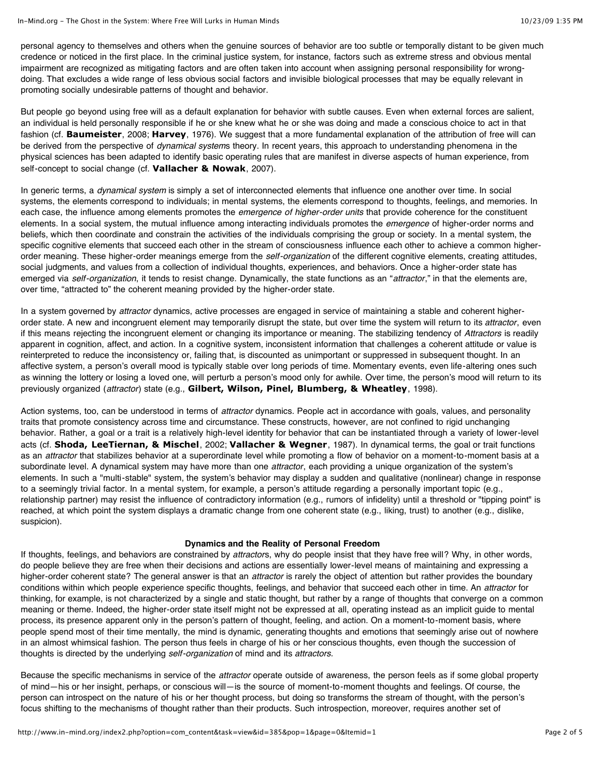personal agency to themselves and others when the genuine sources of behavior are too subtle or temporally distant to be given much credence or noticed in the first place. In the criminal justice system, for instance, factors such as extreme stress and obvious mental impairment are recognized as mitigating factors and are often taken into account when assigning personal responsibility for wrongdoing. That excludes a wide range of less obvious social factors and invisible biological processes that may be equally relevant in promoting socially undesirable patterns of thought and behavior.

But people go beyond using free will as a default explanation for behavior with subtle causes. Even when external forces are salient, an individual is held personally responsible if he or she knew what he or she was doing and made a conscious choice to act in that fashion (cf. **[Baumeister](http://www.in-mind.org/issue-9/the-ghost-in-the-system-where-free-will-lurks-in-human-minds-12.html#Bau)**, 2008; **[Harvey](http://www.in-mind.org/issue-9/the-ghost-in-the-system-where-free-will-lurks-in-human-minds-12.html#Har)**, 1976). We suggest that a more fundamental explanation of the attribution of free will can be derived from the perspective of *dynamical system*s theory. In recent years, this approach to understanding phenomena in the physical sciences has been adapted to identify basic operating rules that are manifest in diverse aspects of human experience, from self-concept to social change (cf. **[Vallacher & Nowak](http://www.in-mind.org/issue-9/the-ghost-in-the-system-where-free-will-lurks-in-human-minds-12.html#VaN)**, 2007).

In generic terms, a *dynamical system* is simply a set of interconnected elements that influence one another over time. In social systems, the elements correspond to individuals; in mental systems, the elements correspond to thoughts, feelings, and memories. In each case, the influence among elements promotes the *emergence of higher-order units* that provide coherence for the constituent elements. In a social system, the mutual influence among interacting individuals promotes the *emergence* of higher-order norms and beliefs, which then coordinate and constrain the activities of the individuals comprising the group or society. In a mental system, the specific cognitive elements that succeed each other in the stream of consciousness influence each other to achieve a common higherorder meaning. These higher-order meanings emerge from the *self-organization* of the different cognitive elements, creating attitudes, social judgments, and values from a collection of individual thoughts, experiences, and behaviors. Once a higher-order state has emerged via *self-organization*, it tends to resist change. Dynamically, the state functions as an "*attractor*," in that the elements are, over time, "attracted to" the coherent meaning provided by the higher-order state.

In a system governed by *attractor* dynamics, active processes are engaged in service of maintaining a stable and coherent higherorder state. A new and incongruent element may temporarily disrupt the state, but over time the system will return to its *attractor*, even if this means rejecting the incongruent element or changing its importance or meaning. The stabilizing tendency of *Attractors* is readily apparent in cognition, affect, and action. In a cognitive system, inconsistent information that challenges a coherent attitude or value is reinterpreted to reduce the inconsistency or, failing that, is discounted as unimportant or suppressed in subsequent thought. In an affective system, a person's overall mood is typically stable over long periods of time. Momentary events, even life-altering ones such as winning the lottery or losing a loved one, will perturb a person's mood only for awhile. Over time, the person's mood will return to its previously organized (*attractor*) state (e.g., **[Gilbert, Wilson, Pinel, Blumberg, & Wheatley](http://www.in-mind.org/issue-9/the-ghost-in-the-system-where-free-will-lurks-in-human-minds-12.html#Gil)**, 1998).

Action systems, too, can be understood in terms of *attractor* dynamics. People act in accordance with goals, values, and personality traits that promote consistency across time and circumstance. These constructs, however, are not confined to rigid unchanging behavior. Rather, a goal or a trait is a relatively high-level identity for behavior that can be instantiated through a variety of lower-level acts (cf. **[Shoda, LeeTiernan, & Mischel](http://www.in-mind.org/issue-9/the-ghost-in-the-system-where-free-will-lurks-in-human-minds-12.html#Sho)**, 2002; **[Vallacher & Wegner](http://www.in-mind.org/issue-9/the-ghost-in-the-system-where-free-will-lurks-in-human-minds-12.html#VaW)**, 1987). In dynamical terms, the goal or trait functions as an *attractor* that stabilizes behavior at a superordinate level while promoting a flow of behavior on a moment-to-moment basis at a subordinate level. A dynamical system may have more than one *attractor*, each providing a unique organization of the system's elements. In such a "multi-stable" system, the system's behavior may display a sudden and qualitative (nonlinear) change in response to a seemingly trivial factor. In a mental system, for example, a person's attitude regarding a personally important topic (e.g., relationship partner) may resist the influence of contradictory information (e.g., rumors of infidelity) until a threshold or "tipping point" is reached, at which point the system displays a dramatic change from one coherent state (e.g., liking, trust) to another (e.g., dislike, suspicion).

#### **Dynamics and the Reality of Personal Freedom**

If thoughts, feelings, and behaviors are constrained by *attractor*s, why do people insist that they have free will? Why, in other words, do people believe they are free when their decisions and actions are essentially lower-level means of maintaining and expressing a higher-order coherent state? The general answer is that an *attractor* is rarely the object of attention but rather provides the boundary conditions within which people experience specific thoughts, feelings, and behavior that succeed each other in time. An *attractor* for thinking, for example, is not characterized by a single and static thought, but rather by a range of thoughts that converge on a common meaning or theme. Indeed, the higher-order state itself might not be expressed at all, operating instead as an implicit guide to mental process, its presence apparent only in the person's pattern of thought, feeling, and action. On a moment-to-moment basis, where people spend most of their time mentally, the mind is dynamic, generating thoughts and emotions that seemingly arise out of nowhere in an almost whimsical fashion. The person thus feels in charge of his or her conscious thoughts, even though the succession of thoughts is directed by the underlying *self-organization* of mind and its *attractors*.

Because the specific mechanisms in service of the *attractor* operate outside of awareness, the person feels as if some global property of mind—his or her insight, perhaps, or conscious will—is the source of moment-to-moment thoughts and feelings. Of course, the person can introspect on the nature of his or her thought process, but doing so transforms the stream of thought, with the person's focus shifting to the mechanisms of thought rather than their products. Such introspection, moreover, requires another set of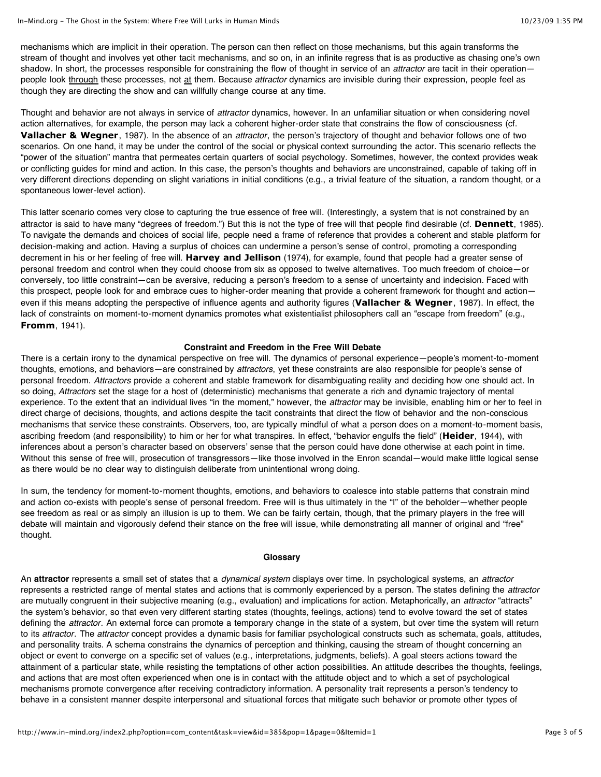mechanisms which are implicit in their operation. The person can then reflect on those mechanisms, but this again transforms the stream of thought and involves yet other tacit mechanisms, and so on, in an infinite regress that is as productive as chasing one's own shadow. In short, the processes responsible for constraining the flow of thought in service of an *attractor* are tacit in their operation people look through these processes, not at them. Because *attractor* dynamics are invisible during their expression, people feel as though they are directing the show and can willfully change course at any time.

Thought and behavior are not always in service of *attractor* dynamics, however. In an unfamiliar situation or when considering novel action alternatives, for example, the person may lack a coherent higher-order state that constrains the flow of consciousness (cf. **[Vallacher & Wegner](http://www.in-mind.org/issue-9/the-ghost-in-the-system-where-free-will-lurks-in-human-minds-12.html#VaW)**, 1987). In the absence of an *attractor*, the person's trajectory of thought and behavior follows one of two scenarios. On one hand, it may be under the control of the social or physical context surrounding the actor. This scenario reflects the "power of the situation" mantra that permeates certain quarters of social psychology. Sometimes, however, the context provides weak or conflicting guides for mind and action. In this case, the person's thoughts and behaviors are unconstrained, capable of taking off in very different directions depending on slight variations in initial conditions (e.g., a trivial feature of the situation, a random thought, or a spontaneous lower-level action).

This latter scenario comes very close to capturing the true essence of free will. (Interestingly, a system that is not constrained by an attractor is said to have many "degrees of freedom.") But this is not the type of free will that people find desirable (cf. **[Dennett](http://www.in-mind.org/issue-9/the-ghost-in-the-system-where-free-will-lurks-in-human-minds-12.html#Den)**, 1985). To navigate the demands and choices of social life, people need a frame of reference that provides a coherent and stable platform for decision-making and action. Having a surplus of choices can undermine a person's sense of control, promoting a corresponding decrement in his or her feeling of free will. **[Harvey and Jellison](http://www.in-mind.org/issue-9/the-ghost-in-the-system-where-free-will-lurks-in-human-minds-12.html#HaJ)** (1974), for example, found that people had a greater sense of personal freedom and control when they could choose from six as opposed to twelve alternatives. Too much freedom of choice—or conversely, too little constraint—can be aversive, reducing a person's freedom to a sense of uncertainty and indecision. Faced with this prospect, people look for and embrace cues to higher-order meaning that provide a coherent framework for thought and actioneven if this means adopting the perspective of influence agents and authority figures (**[Vallacher & Wegner](http://www.in-mind.org/issue-9/the-ghost-in-the-system-where-free-will-lurks-in-human-minds-12.html#VaW)**, 1987). In effect, the lack of constraints on moment-to-moment dynamics promotes what existentialist philosophers call an "escape from freedom" (e.g., **[Fromm](http://www.in-mind.org/issue-9/the-ghost-in-the-system-where-free-will-lurks-in-human-minds-12.html#Fro)**, 1941).

#### **Constraint and Freedom in the Free Will Debate**

There is a certain irony to the dynamical perspective on free will. The dynamics of personal experience—people's moment-to-moment thoughts, emotions, and behaviors—are constrained by *attractors*, yet these constraints are also responsible for people's sense of personal freedom. *Attractors* provide a coherent and stable framework for disambiguating reality and deciding how one should act. In so doing, *Attractors* set the stage for a host of (deterministic) mechanisms that generate a rich and dynamic trajectory of mental experience. To the extent that an individual lives "in the moment," however, the *attractor* may be invisible, enabling him or her to feel in direct charge of decisions, thoughts, and actions despite the tacit constraints that direct the flow of behavior and the non-conscious mechanisms that service these constraints. Observers, too, are typically mindful of what a person does on a moment-to-moment basis, ascribing freedom (and responsibility) to him or her for what transpires. In effect, "behavior engulfs the field" (**[Heider](http://www.in-mind.org/issue-9/the-ghost-in-the-system-where-free-will-lurks-in-human-minds-12.html#Hei)**, 1944), with inferences about a person's character based on observers' sense that the person could have done otherwise at each point in time. Without this sense of free will, prosecution of transgressors—like those involved in the Enron scandal—would make little logical sense as there would be no clear way to distinguish deliberate from unintentional wrong doing.

In sum, the tendency for moment-to-moment thoughts, emotions, and behaviors to coalesce into stable patterns that constrain mind and action co-exists with people's sense of personal freedom. Free will is thus ultimately in the "I" of the beholder—whether people see freedom as real or as simply an illusion is up to them. We can be fairly certain, though, that the primary players in the free will debate will maintain and vigorously defend their stance on the free will issue, while demonstrating all manner of original and "free" thought.

### **Glossary**

An **attractor** represents a small set of states that a *dynamical system* displays over time. In psychological systems, an *attractor* represents a restricted range of mental states and actions that is commonly experienced by a person. The states defining the *attractor* are mutually congruent in their subjective meaning (e.g., evaluation) and implications for action. Metaphorically, an *attractor* "attracts" the system's behavior, so that even very different starting states (thoughts, feelings, actions) tend to evolve toward the set of states defining the *attractor*. An external force can promote a temporary change in the state of a system, but over time the system will return to its *attractor*. The *attractor* concept provides a dynamic basis for familiar psychological constructs such as schemata, goals, attitudes, and personality traits. A schema constrains the dynamics of perception and thinking, causing the stream of thought concerning an object or event to converge on a specific set of values (e.g., interpretations, judgments, beliefs). A goal steers actions toward the attainment of a particular state, while resisting the temptations of other action possibilities. An attitude describes the thoughts, feelings, and actions that are most often experienced when one is in contact with the attitude object and to which a set of psychological mechanisms promote convergence after receiving contradictory information. A personality trait represents a person's tendency to behave in a consistent manner despite interpersonal and situational forces that mitigate such behavior or promote other types of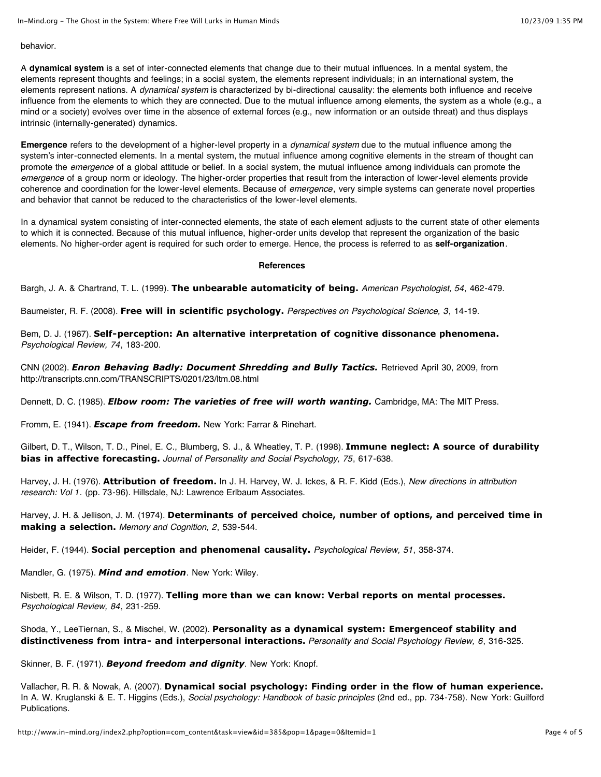#### behavior.

A **dynamical system** is a set of inter-connected elements that change due to their mutual influences. In a mental system, the elements represent thoughts and feelings; in a social system, the elements represent individuals; in an international system, the elements represent nations. A *dynamical system* is characterized by bi-directional causality: the elements both influence and receive influence from the elements to which they are connected. Due to the mutual influence among elements, the system as a whole (e.g., a mind or a society) evolves over time in the absence of external forces (e.g., new information or an outside threat) and thus displays intrinsic (internally-generated) dynamics.

**Emergence** refers to the development of a higher-level property in a *dynamical system* due to the mutual influence among the system's inter-connected elements. In a mental system, the mutual influence among cognitive elements in the stream of thought can promote the *emergence* of a global attitude or belief. In a social system, the mutual influence among individuals can promote the *emergence* of a group norm or ideology. The higher-order properties that result from the interaction of lower-level elements provide coherence and coordination for the lower-level elements. Because of *emergence*, very simple systems can generate novel properties and behavior that cannot be reduced to the characteristics of the lower-level elements.

In a dynamical system consisting of inter-connected elements, the state of each element adjusts to the current state of other elements to which it is connected. Because of this mutual influence, higher-order units develop that represent the organization of the basic elements. No higher-order agent is required for such order to emerge. Hence, the process is referred to as **self-organization**.

#### **References**

Bargh, J. A. & Chartrand, T. L. (1999). **[The unbearable automaticity of being.](http://www.psychology.pl/download/emotions_and_motivation2/TheUnbearableAutomaticBeing.pdf)** *American Psychologist, 54*, 462-479.

Baumeister, R. F. (2008). **[Free will in scientific psychology.](http://www.lawandneuroscienceproject.org/filerepo/data/%5B0802201245%5Dbaumeister_FreeWill08.pdf)** *Perspectives on Psychological Science, 3*, 14-19.

Bem, D. J. (1967). **[Self-perception: An alternative interpretation of cognitive dissonance phenomena.](http://dbem.ws/SP%20Theory%20Cognitive%20Dissonance.pdf)** *Psychological Review, 74*, 183-200.

CNN (2002). *[Enron Behaving Badly: Document Shredding and Bully Tactics.](http://transcripts.cnn.com/TRANSCRIPTS/0201/23/ltm.08.html)* Retrieved April 30, 2009, from http://transcripts.cnn.com/TRANSCRIPTS/0201/23/ltm.08.html

Dennett, D. C. (1985). *[Elbow room: The varieties of free will worth wanting.](http://www.amazon.com/Elbow-Room-Varieties-Worth-Wanting/dp/0262040778/ref=sr_1_1?ie=UTF8&qid=1249905342&sr=8-1)* Cambridge, MA: The MIT Press.

Fromm, E. (1941). *[Escape from freedom.](http://www.amazon.com/Escape-Freedom-Erich-Fromm/dp/0805031499/ref=sr_1_1?ie=UTF8&qid=1249905656&sr=8-1)* New York: Farrar & Rinehart.

[Gilbert, D. T., Wilson, T. D., Pinel, E. C., Blumberg, S. J., & Wheatley, T. P. \(1998\).](http://www.wjh.harvard.edu/~dtg/Gilbert%20et%20al%20%28IMMUNE%29t.pdf) **Immune neglect: A source of durability bias in affective forecasting.** *Journal of Personality and Social Psychology, 75*, 617-638.

Harvey, J. H. (1976). **[Attribution of freedom.](http://books.google.co.uk/books?hl=en&lr=&id=q1lCPdi8528C&oi=fnd&pg=PA73&dq=Attribution+of+freedom&ots=8DYEVIe7qP&sig=9ueU2oNXAmByPI2f-Hfi_eUOaf4#v=onepage&q=&f=false)** In J. H. Harvey, W. J. Ickes, & R. F. Kidd (Eds.), *New directions in attribution research: Vol 1*. (pp. 73-96). Hillsdale, NJ: Lawrence Erlbaum Associates.

Harvey, J. H. & Jellison, J. M. (1974). **[Determinants of perceived choice, number of options, and perceived time in](http://scholar.google.co.uk/scholar?hl=en&q=author:%22Harvey%22+intitle:%22Determinants+of+perceived+choice,+number+of+options,+and+...%22+&um=1&ie=UTF-8&oi=scholarr) making a selection.** *Memory and Cognition, 2*, 539-544.

Heider, F. (1944). **[Social perception and phenomenal causality.](http://ft.csa.com/ids70/resolver.php?sessid=jh10cgt3d1eu54fgdf52d1os75&server=csaweb105v.csa.com&check=0524d0de933c0461a3dadf7021d171d5&db=psycarticles-set-c&key=REV%2F51%2Frev_51_6_358&mode=pdf)** *Psychological Review, 51*, 358-374.

Mandler, G. (1975). *[Mind and emotion](http://www.amazon.com/Mind-Emotion-George-Mandler/dp/0471566918/ref=sr_1_2?ie=UTF8&qid=1249903847&sr=8-2)*. New York: Wiley.

Nisbett, R. E. & Wilson, T. D. (1977). **[Telling more than we can know: Verbal reports on mental processes.](http://depts.washington.edu/methods/readings/Nisbett_1977.pdf)** *Psychological Review, 84*, 231-259.

Shoda, Y., LeeTiernan, S., & Mischel, W. (2002). **[Personality as a dynamical system: Emergenceof stability and](http://psr.sagepub.com/cgi/content/abstract/6/4/316) distinctiveness from intra- and interpersonal interactions.** *Personality and Social Psychology Review, 6*, 316-325.

Skinner, B. F. (1971). *[Beyond freedom and dignity](http://www.amazon.com/Beyond-Freedom-Dignity-B-Skinner/dp/0872206270/ref=sr_1_1?ie=UTF8&qid=1249903659&sr=8-1)*. New York: Knopf.

Vallacher, R. R. & Nowak, A. (2007). **[Dynamical social psychology: Finding order in the flow of human experience.](http://www.amazon.com/Social-Psychology-Second-Handbook-Principles/dp/1572309180/ref=sr_1_1?ie=UTF8&qid=1249904785&sr=8-1)** In A. W. Kruglanski & E. T. Higgins (Eds.), *Social psychology: Handbook of basic principles* (2nd ed., pp. 734-758). New York: Guilford Publications.